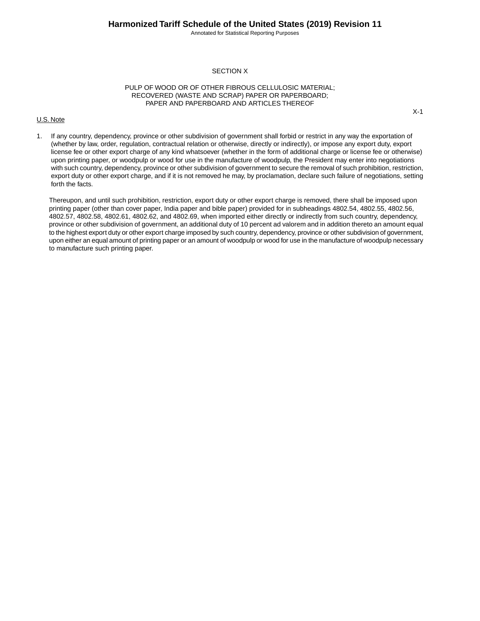Annotated for Statistical Reporting Purposes

## SECTION X

## PULP OF WOOD OR OF OTHER FIBROUS CELLULOSIC MATERIAL; RECOVERED (WASTE AND SCRAP) PAPER OR PAPERBOARD; PAPER AND PAPERBOARD AND ARTICLES THEREOF

#### U.S. Note

1. If any country, dependency, province or other subdivision of government shall forbid or restrict in any way the exportation of (whether by law, order, regulation, contractual relation or otherwise, directly or indirectly), or impose any export duty, export license fee or other export charge of any kind whatsoever (whether in the form of additional charge or license fee or otherwise) upon printing paper, or woodpulp or wood for use in the manufacture of woodpulp, the President may enter into negotiations with such country, dependency, province or other subdivision of government to secure the removal of such prohibition, restriction, export duty or other export charge, and if it is not removed he may, by proclamation, declare such failure of negotiations, setting forth the facts.

Thereupon, and until such prohibition, restriction, export duty or other export charge is removed, there shall be imposed upon printing paper (other than cover paper, India paper and bible paper) provided for in subheadings 4802.54, 4802.55, 4802.56, 4802.57, 4802.58, 4802.61, 4802.62, and 4802.69, when imported either directly or indirectly from such country, dependency, province or other subdivision of government, an additional duty of 10 percent ad valorem and in addition thereto an amount equal to the highest export duty or other export charge imposed by such country, dependency, province or other subdivision of government, upon either an equal amount of printing paper or an amount of woodpulp or wood for use in the manufacture of woodpulp necessary to manufacture such printing paper.

X-1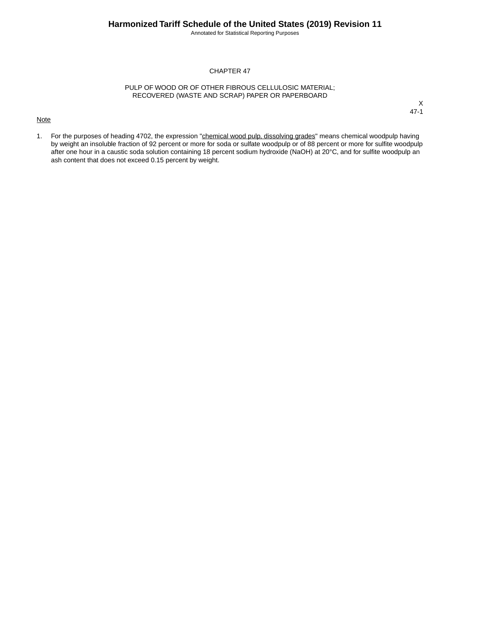Annotated for Statistical Reporting Purposes

# CHAPTER 47

### PULP OF WOOD OR OF OTHER FIBROUS CELLULOSIC MATERIAL; RECOVERED (WASTE AND SCRAP) PAPER OR PAPERBOARD

#### **Note**

X 47-1

1. For the purposes of heading 4702, the expression "chemical wood pulp, dissolving grades" means chemical woodpulp having by weight an insoluble fraction of 92 percent or more for soda or sulfate woodpulp or of 88 percent or more for sulfite woodpulp after one hour in a caustic soda solution containing 18 percent sodium hydroxide (NaOH) at 20°C, and for sulfite woodpulp an ash content that does not exceed 0.15 percent by weight.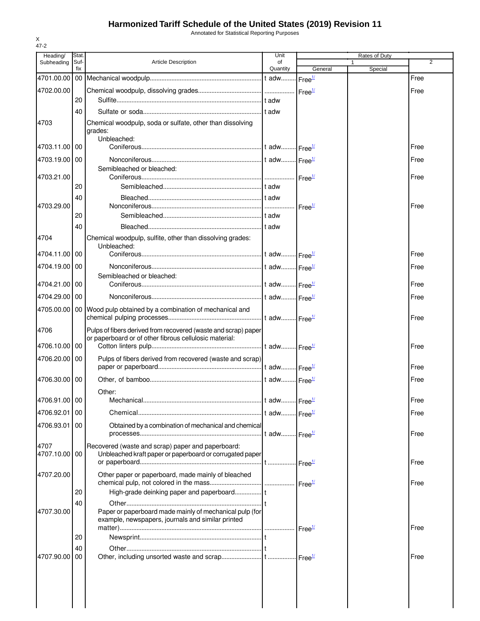# **Harmonized Tariff Schedule of the United States (2019) Revision 11**

Annotated for Statistical Reporting Purposes

| Heading/              | Stat.       |                                                                                                                          | Unit                     |                    | Rates of Duty |      |
|-----------------------|-------------|--------------------------------------------------------------------------------------------------------------------------|--------------------------|--------------------|---------------|------|
| Subheading            | Suf-<br>fix | <b>Article Description</b>                                                                                               | of<br>Quantity           | General            | Special       | 2    |
| 4701.00.00            |             |                                                                                                                          |                          |                    |               | Free |
| 4702.00.00            |             |                                                                                                                          |                          |                    |               | Free |
|                       | 20          |                                                                                                                          |                          |                    |               |      |
|                       | 40          |                                                                                                                          |                          |                    |               |      |
| 4703                  |             | Chemical woodpulp, soda or sulfate, other than dissolving                                                                |                          |                    |               |      |
|                       |             | grades:<br>Unbleached:                                                                                                   |                          |                    |               |      |
| 4703.11.00            | 00          |                                                                                                                          |                          |                    |               | Free |
| 4703.19.00 00         |             |                                                                                                                          |                          |                    |               | Free |
|                       |             | Semibleached or bleached:                                                                                                |                          |                    |               |      |
| 4703.21.00            |             |                                                                                                                          |                          |                    |               | Free |
|                       | 20          |                                                                                                                          |                          |                    |               |      |
|                       | 40          |                                                                                                                          |                          |                    |               |      |
| 4703.29.00            | 20          |                                                                                                                          |                          | Free <sup>1/</sup> |               | Free |
|                       | 40          |                                                                                                                          |                          |                    |               |      |
| 4704                  |             | Chemical woodpulp, sulfite, other than dissolving grades:                                                                |                          |                    |               |      |
|                       |             | Unbleached:                                                                                                              |                          |                    |               |      |
| 4704.11.00 00         |             |                                                                                                                          |                          |                    |               | Free |
| 4704.19.00 00         |             |                                                                                                                          |                          |                    |               | Free |
|                       |             | Semibleached or bleached:                                                                                                |                          |                    |               |      |
| 4704.21.00 00         |             |                                                                                                                          |                          |                    |               | Free |
| 4704.29.00 00         |             |                                                                                                                          |                          |                    |               | Free |
|                       |             | 4705.00.00   00   Wood pulp obtained by a combination of mechanical and                                                  |                          |                    |               |      |
|                       |             |                                                                                                                          |                          |                    |               | Free |
| 4706                  |             | Pulps of fibers derived from recovered (waste and scrap) paper<br>or paperboard or of other fibrous cellulosic material: |                          |                    |               |      |
| 4706.10.00            | 00          |                                                                                                                          |                          |                    |               | Free |
| 4706.20.00 00         |             | Pulps of fibers derived from recovered (waste and scrap)                                                                 |                          |                    |               |      |
|                       |             |                                                                                                                          |                          |                    |               | Free |
| 4706.30.00            | 00          |                                                                                                                          |                          |                    |               | Free |
|                       |             | Other:                                                                                                                   |                          |                    |               |      |
| 4706.91.00 00         |             |                                                                                                                          |                          |                    |               | Free |
| 4706.92.01 00         |             |                                                                                                                          |                          |                    |               | Free |
| 4706.93.01            | 00          | Obtained by a combination of mechanical and chemical                                                                     |                          |                    |               |      |
|                       |             |                                                                                                                          | t adw Free <sup>1/</sup> |                    |               | Free |
| 4707<br>4707.10.00 00 |             | Recovered (waste and scrap) paper and paperboard:<br>Unbleached kraft paper or paperboard or corrugated paper            |                          |                    |               |      |
|                       |             |                                                                                                                          |                          |                    |               | Free |
| 4707.20.00            |             | Other paper or paperboard, made mainly of bleached                                                                       |                          |                    |               |      |
|                       |             |                                                                                                                          |                          |                    |               | Free |
|                       | 20          |                                                                                                                          |                          |                    |               |      |
|                       | 40          |                                                                                                                          |                          |                    |               |      |
| 4707.30.00            |             | Paper or paperboard made mainly of mechanical pulp (for<br>example, newspapers, journals and similar printed             |                          |                    |               |      |
|                       |             |                                                                                                                          |                          |                    |               | Free |
|                       | 20          |                                                                                                                          |                          |                    |               |      |
|                       | 40          |                                                                                                                          |                          |                    |               |      |
| 4707.90.00            | 00          |                                                                                                                          |                          |                    |               | Free |
|                       |             |                                                                                                                          |                          |                    |               |      |
|                       |             |                                                                                                                          |                          |                    |               |      |
|                       |             |                                                                                                                          |                          |                    |               |      |
|                       |             |                                                                                                                          |                          |                    |               |      |

X 47-2